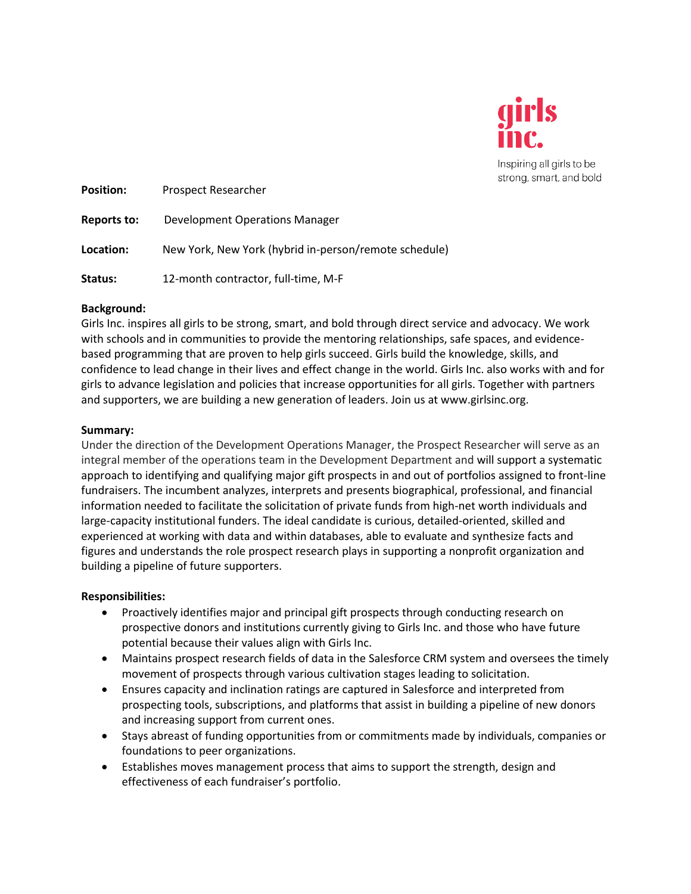

Inspiring all girls to be strong, smart, and bold

| <b>Position:</b> | Prospect Researcher                                   |
|------------------|-------------------------------------------------------|
| Reports to:      | Development Operations Manager                        |
| Location:        | New York, New York (hybrid in-person/remote schedule) |
| Status:          | 12-month contractor, full-time, M-F                   |

# **Background:**

Girls Inc. inspires all girls to be strong, smart, and bold through direct service and advocacy. We work with schools and in communities to provide the mentoring relationships, safe spaces, and evidencebased programming that are proven to help girls succeed. Girls build the knowledge, skills, and confidence to lead change in their lives and effect change in the world. Girls Inc. also works with and for girls to advance legislation and policies that increase opportunities for all girls. Together with partners and supporters, we are building a new generation of leaders. Join us at www.girlsinc.org.

# **Summary:**

Under the direction of the Development Operations Manager, the Prospect Researcher will serve as an integral member of the operations team in the Development Department and will support a systematic approach to identifying and qualifying major gift prospects in and out of portfolios assigned to front-line fundraisers. The incumbent analyzes, interprets and presents biographical, professional, and financial information needed to facilitate the solicitation of private funds from high-net worth individuals and large-capacity institutional funders. The ideal candidate is curious, detailed-oriented, skilled and experienced at working with data and within databases, able to evaluate and synthesize facts and figures and understands the role prospect research plays in supporting a nonprofit organization and building a pipeline of future supporters.

# **Responsibilities:**

- Proactively identifies major and principal gift prospects through conducting research on prospective donors and institutions currently giving to Girls Inc. and those who have future potential because their values align with Girls Inc.
- Maintains prospect research fields of data in the Salesforce CRM system and oversees the timely movement of prospects through various cultivation stages leading to solicitation.
- Ensures capacity and inclination ratings are captured in Salesforce and interpreted from prospecting tools, subscriptions, and platforms that assist in building a pipeline of new donors and increasing support from current ones.
- Stays abreast of funding opportunities from or commitments made by individuals, companies or foundations to peer organizations.
- Establishes moves management process that aims to support the strength, design and effectiveness of each fundraiser's portfolio.